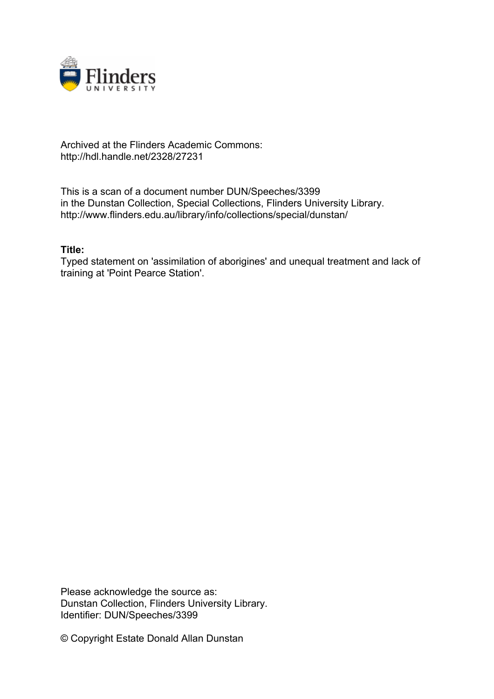

## Archived at the Flinders Academic Commons: http://hdl.handle.net/2328/27231

This is a scan of a document number DUN/Speeches/3399 in the Dunstan Collection, Special Collections, Flinders University Library. http://www.flinders.edu.au/library/info/collections/special/dunstan/

## **Title:**

Typed statement on 'assimilation of aborigines' and unequal treatment and lack of training at 'Point Pearce Station'.

Please acknowledge the source as: Dunstan Collection, Flinders University Library. Identifier: DUN/Speeches/3399

© Copyright Estate Donald Allan Dunstan